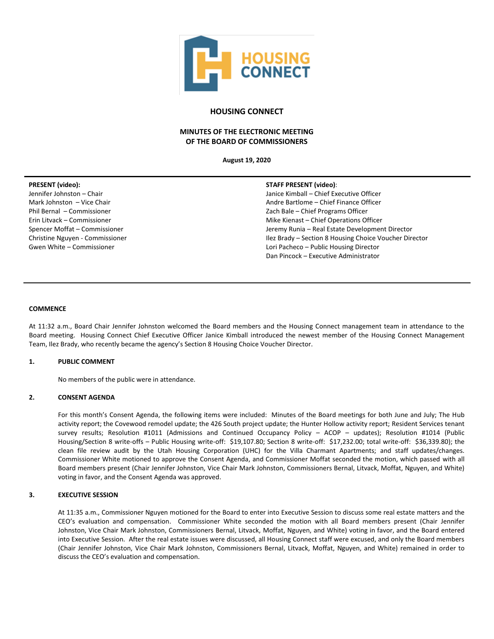

## **HOUSING CONNECT**

# **MINUTES OF THE ELECTRONIC MEETING OF THE BOARD OF COMMISSIONERS**

**August 19, 2020**

### **PRESENT (video):**

Jennifer Johnston – Chair Mark Johnston – Vice Chair Phil Bernal – Commissioner Erin Litvack – Commissioner Spencer Moffat – Commissioner Christine Nguyen - Commissioner Gwen White – Commissioner

#### **STAFF PRESENT (video)**:

Janice Kimball – Chief Executive Officer Andre Bartlome – Chief Finance Officer Zach Bale – Chief Programs Officer Mike Kienast – Chief Operations Officer Jeremy Runia – Real Estate Development Director Ilez Brady – Section 8 Housing Choice Voucher Director Lori Pacheco – Public Housing Director Dan Pincock – Executive Administrator

#### **COMMENCE**

At 11:32 a.m., Board Chair Jennifer Johnston welcomed the Board members and the Housing Connect management team in attendance to the Board meeting. Housing Connect Chief Executive Officer Janice Kimball introduced the newest member of the Housing Connect Management Team, Ilez Brady, who recently became the agency's Section 8 Housing Choice Voucher Director.

#### **1. PUBLIC COMMENT**

No members of the public were in attendance.

#### **2. CONSENT AGENDA**

For this month's Consent Agenda, the following items were included: Minutes of the Board meetings for both June and July; The Hub activity report; the Covewood remodel update; the 426 South project update; the Hunter Hollow activity report; Resident Services tenant survey results; Resolution #1011 (Admissions and Continued Occupancy Policy – ACOP – updates); Resolution #1014 (Public Housing/Section 8 write-offs – Public Housing write-off: \$19,107.80; Section 8 write-off: \$17,232.00; total write-off: \$36,339.80); the clean file review audit by the Utah Housing Corporation (UHC) for the Villa Charmant Apartments; and staff updates/changes. Commissioner White motioned to approve the Consent Agenda, and Commissioner Moffat seconded the motion, which passed with all Board members present (Chair Jennifer Johnston, Vice Chair Mark Johnston, Commissioners Bernal, Litvack, Moffat, Nguyen, and White) voting in favor, and the Consent Agenda was approved.

### **3. EXECUTIVE SESSION**

At 11:35 a.m., Commissioner Nguyen motioned for the Board to enter into Executive Session to discuss some real estate matters and the CEO's evaluation and compensation. Commissioner White seconded the motion with all Board members present (Chair Jennifer Johnston, Vice Chair Mark Johnston, Commissioners Bernal, Litvack, Moffat, Nguyen, and White) voting in favor, and the Board entered into Executive Session. After the real estate issues were discussed, all Housing Connect staff were excused, and only the Board members (Chair Jennifer Johnston, Vice Chair Mark Johnston, Commissioners Bernal, Litvack, Moffat, Nguyen, and White) remained in order to discuss the CEO's evaluation and compensation.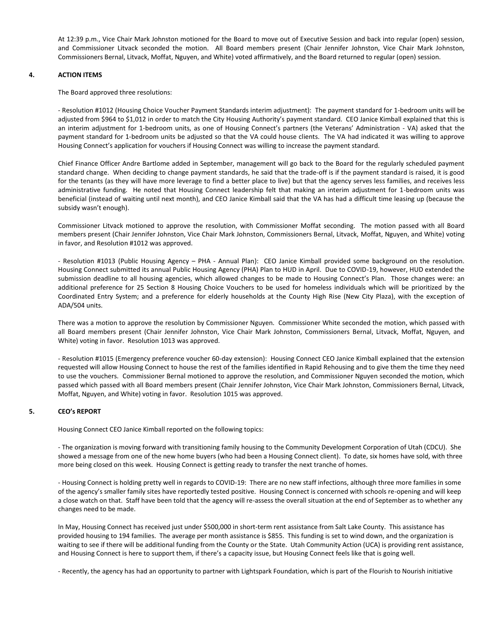At 12:39 p.m., Vice Chair Mark Johnston motioned for the Board to move out of Executive Session and back into regular (open) session, and Commissioner Litvack seconded the motion. All Board members present (Chair Jennifer Johnston, Vice Chair Mark Johnston, Commissioners Bernal, Litvack, Moffat, Nguyen, and White) voted affirmatively, and the Board returned to regular (open) session.

### **4. ACTION ITEMS**

The Board approved three resolutions:

- Resolution #1012 (Housing Choice Voucher Payment Standards interim adjustment): The payment standard for 1-bedroom units will be adjusted from \$964 to \$1,012 in order to match the City Housing Authority's payment standard. CEO Janice Kimball explained that this is an interim adjustment for 1-bedroom units, as one of Housing Connect's partners (the Veterans' Administration - VA) asked that the payment standard for 1-bedroom units be adjusted so that the VA could house clients. The VA had indicated it was willing to approve Housing Connect's application for vouchers if Housing Connect was willing to increase the payment standard.

Chief Finance Officer Andre Bartlome added in September, management will go back to the Board for the regularly scheduled payment standard change. When deciding to change payment standards, he said that the trade-off is if the payment standard is raised, it is good for the tenants (as they will have more leverage to find a better place to live) but that the agency serves less families, and receives less administrative funding. He noted that Housing Connect leadership felt that making an interim adjustment for 1-bedroom units was beneficial (instead of waiting until next month), and CEO Janice Kimball said that the VA has had a difficult time leasing up (because the subsidy wasn't enough).

Commissioner Litvack motioned to approve the resolution, with Commissioner Moffat seconding. The motion passed with all Board members present (Chair Jennifer Johnston, Vice Chair Mark Johnston, Commissioners Bernal, Litvack, Moffat, Nguyen, and White) voting in favor, and Resolution #1012 was approved.

- Resolution #1013 (Public Housing Agency – PHA - Annual Plan): CEO Janice Kimball provided some background on the resolution. Housing Connect submitted its annual Public Housing Agency (PHA) Plan to HUD in April. Due to COVID-19, however, HUD extended the submission deadline to all housing agencies, which allowed changes to be made to Housing Connect's Plan. Those changes were: an additional preference for 25 Section 8 Housing Choice Vouchers to be used for homeless individuals which will be prioritized by the Coordinated Entry System; and a preference for elderly households at the County High Rise (New City Plaza), with the exception of ADA/504 units.

There was a motion to approve the resolution by Commissioner Nguyen. Commissioner White seconded the motion, which passed with all Board members present (Chair Jennifer Johnston, Vice Chair Mark Johnston, Commissioners Bernal, Litvack, Moffat, Nguyen, and White) voting in favor. Resolution 1013 was approved.

- Resolution #1015 (Emergency preference voucher 60-day extension): Housing Connect CEO Janice Kimball explained that the extension requested will allow Housing Connect to house the rest of the families identified in Rapid Rehousing and to give them the time they need to use the vouchers. Commissioner Bernal motioned to approve the resolution, and Commissioner Nguyen seconded the motion, which passed which passed with all Board members present (Chair Jennifer Johnston, Vice Chair Mark Johnston, Commissioners Bernal, Litvack, Moffat, Nguyen, and White) voting in favor. Resolution 1015 was approved.

## **5. CEO's REPORT**

Housing Connect CEO Janice Kimball reported on the following topics:

- The organization is moving forward with transitioning family housing to the Community Development Corporation of Utah (CDCU). She showed a message from one of the new home buyers (who had been a Housing Connect client). To date, six homes have sold, with three more being closed on this week. Housing Connect is getting ready to transfer the next tranche of homes.

- Housing Connect is holding pretty well in regards to COVID-19: There are no new staff infections, although three more families in some of the agency's smaller family sites have reportedly tested positive. Housing Connect is concerned with schools re-opening and will keep a close watch on that. Staff have been told that the agency will re-assess the overall situation at the end of September as to whether any changes need to be made.

In May, Housing Connect has received just under \$500,000 in short-term rent assistance from Salt Lake County. This assistance has provided housing to 194 families. The average per month assistance is \$855. This funding is set to wind down, and the organization is waiting to see if there will be additional funding from the County or the State. Utah Community Action (UCA) is providing rent assistance, and Housing Connect is here to support them, if there's a capacity issue, but Housing Connect feels like that is going well.

- Recently, the agency has had an opportunity to partner with Lightspark Foundation, which is part of the Flourish to Nourish initiative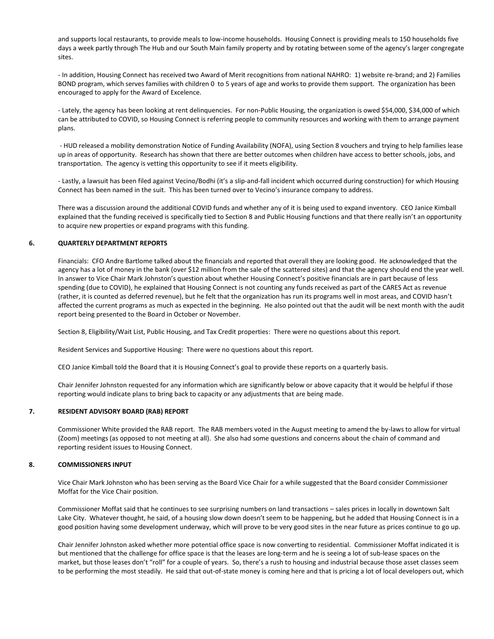and supports local restaurants, to provide meals to low-income households. Housing Connect is providing meals to 150 households five days a week partly through The Hub and our South Main family property and by rotating between some of the agency's larger congregate sites.

- In addition, Housing Connect has received two Award of Merit recognitions from national NAHRO: 1) website re-brand; and 2) Families BOND program, which serves families with children 0 to 5 years of age and works to provide them support. The organization has been encouraged to apply for the Award of Excelence.

- Lately, the agency has been looking at rent delinquencies. For non-Public Housing, the organization is owed \$54,000, \$34,000 of which can be attributed to COVID, so Housing Connect is referring people to community resources and working with them to arrange payment plans.

- HUD released a mobility demonstration Notice of Funding Availability (NOFA), using Section 8 vouchers and trying to help families lease up in areas of opportunity. Research has shown that there are better outcomes when children have access to better schools, jobs, and transportation. The agency is vetting this opportunity to see if it meets eligibility.

- Lastly, a lawsuit has been filed against Vecino/Bodhi (it's a slip-and-fall incident which occurred during construction) for which Housing Connect has been named in the suit. This has been turned over to Vecino's insurance company to address.

There was a discussion around the additional COVID funds and whether any of it is being used to expand inventory. CEO Janice Kimball explained that the funding received is specifically tied to Section 8 and Public Housing functions and that there really isn't an opportunity to acquire new properties or expand programs with this funding.

### **6. QUARTERLY DEPARTMENT REPORTS**

Financials: CFO Andre Bartlome talked about the financials and reported that overall they are looking good. He acknowledged that the agency has a lot of money in the bank (over \$12 million from the sale of the scattered sites) and that the agency should end the year well. In answer to Vice Chair Mark Johnston's question about whether Housing Connect's positive financials are in part because of less spending (due to COVID), he explained that Housing Connect is not counting any funds received as part of the CARES Act as revenue (rather, it is counted as deferred revenue), but he felt that the organization has run its programs well in most areas, and COVID hasn't affected the current programs as much as expected in the beginning. He also pointed out that the audit will be next month with the audit report being presented to the Board in October or November.

Section 8, Eligibility/Wait List, Public Housing, and Tax Credit properties: There were no questions about this report.

Resident Services and Supportive Housing: There were no questions about this report.

CEO Janice Kimball told the Board that it is Housing Connect's goal to provide these reports on a quarterly basis.

Chair Jennifer Johnston requested for any information which are significantly below or above capacity that it would be helpful if those reporting would indicate plans to bring back to capacity or any adjustments that are being made.

## **7. RESIDENT ADVISORY BOARD (RAB) REPORT**

Commissioner White provided the RAB report. The RAB members voted in the August meeting to amend the by-laws to allow for virtual (Zoom) meetings (as opposed to not meeting at all). She also had some questions and concerns about the chain of command and reporting resident issues to Housing Connect.

#### **8. COMMISSIONERS INPUT**

Vice Chair Mark Johnston who has been serving as the Board Vice Chair for a while suggested that the Board consider Commissioner Moffat for the Vice Chair position.

Commissioner Moffat said that he continues to see surprising numbers on land transactions – sales prices in locally in downtown Salt Lake City. Whatever thought, he said, of a housing slow down doesn't seem to be happening, but he added that Housing Connect is in a good position having some development underway, which will prove to be very good sites in the near future as prices continue to go up.

Chair Jennifer Johnston asked whether more potential office space is now converting to residential. Commissioner Moffat indicated it is but mentioned that the challenge for office space is that the leases are long-term and he is seeing a lot of sub-lease spaces on the market, but those leases don't "roll" for a couple of years. So, there's a rush to housing and industrial because those asset classes seem to be performing the most steadily. He said that out-of-state money is coming here and that is pricing a lot of local developers out, which